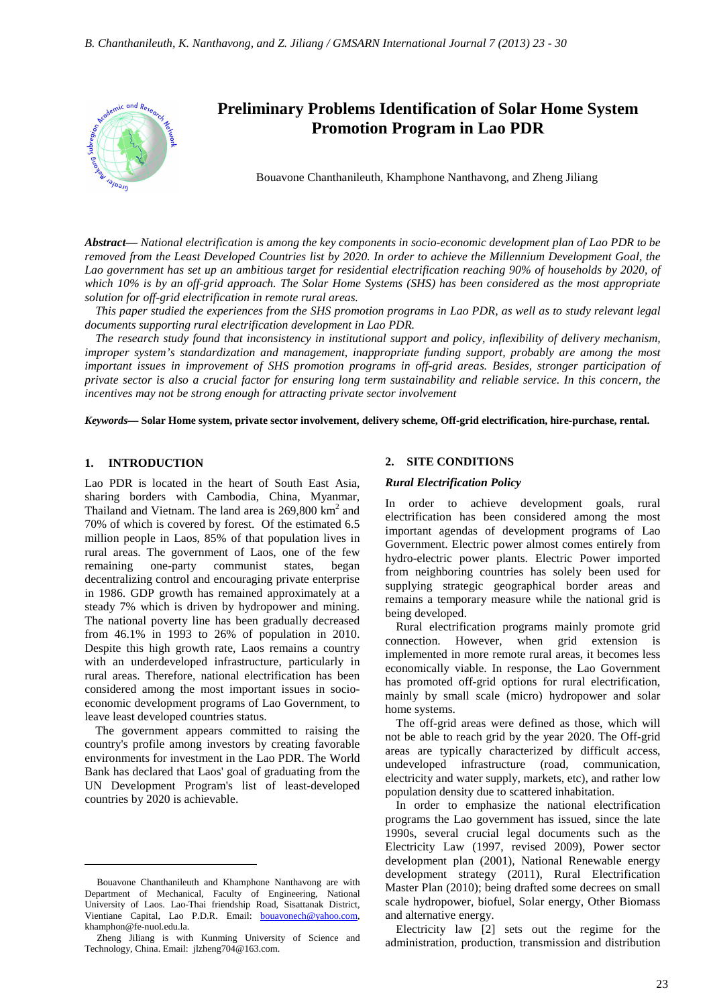

# **Preliminary Problems Identification of Solar Home System Promotion Program in Lao PDR**

Bouavone Chanthanileuth, Khamphone Nanthavong, and Zheng Jiliang

*Abstract***—** *National electrification is among the key components in socio-economic development plan of Lao PDR to be removed from the Least Developed Countries list by 2020. In order to achieve the Millennium Development Goal, the*  Lao government has set up an ambitious target for residential electrification reaching 90% of households by 2020, of *which 10% is by an off-grid approach. The Solar Home Systems (SHS) has been considered as the most appropriate solution for off-grid electrification in remote rural areas.* 

*This paper studied the experiences from the SHS promotion programs in Lao PDR, as well as to study relevant legal documents supporting rural electrification development in Lao PDR.* 

*The research study found that inconsistency in institutional support and policy, inflexibility of delivery mechanism, improper system's standardization and management, inappropriate funding support, probably are among the most important issues in improvement of SHS promotion programs in off-grid areas. Besides, stronger participation of private sector is also a crucial factor for ensuring long term sustainability and reliable service. In this concern, the incentives may not be strong enough for attracting private sector involvement*

*Keywords***— Solar Home system, private sector involvement, delivery scheme, Off-grid electrification, hire-purchase, rental.**

## **1. INTRODUCTION**

 $\overline{a}$ 

Lao PDR is located in the heart of South East Asia, sharing borders with Cambodia, China, Myanmar, Thailand and Vietnam. The land area is  $269,800 \text{ km}^2$  and 70% of which is covered by forest. Of the estimated 6.5 million people in Laos, 85% of that population lives in rural areas. The government of Laos, one of the few remaining one-party communist states, began decentralizing control and encouraging private enterprise in 1986. GDP growth has remained approximately at a steady 7% which is driven by hydropower and mining. The national poverty line has been gradually decreased from 46.1% in 1993 to 26% of population in 2010. Despite this high growth rate, Laos remains a country with an underdeveloped infrastructure, particularly in rural areas. Therefore, national electrification has been considered among the most important issues in socioeconomic development programs of Lao Government, to leave least developed countries status.

The government appears committed to raising the country's profile among investors by creating favorable environments for investment in the Lao PDR. The World Bank has declared that Laos' goal of graduating from the UN Development Program's list of least-developed countries by 2020 is achievable.

#### **2. SITE CONDITIONS**

#### *Rural Electrification Policy*

In order to achieve development goals, rural electrification has been considered among the most important agendas of development programs of Lao Government. Electric power almost comes entirely from hydro-electric power plants. Electric Power imported from neighboring countries has solely been used for supplying strategic geographical border areas and remains a temporary measure while the national grid is being developed.

Rural electrification programs mainly promote grid connection. However, when grid extension is implemented in more remote rural areas, it becomes less economically viable. In response, the Lao Government has promoted off-grid options for rural electrification, mainly by small scale (micro) hydropower and solar home systems.

The off-grid areas were defined as those, which will not be able to reach grid by the year 2020. The Off-grid areas are typically characterized by difficult access, undeveloped infrastructure (road, communication, electricity and water supply, markets, etc), and rather low population density due to scattered inhabitation.

In order to emphasize the national electrification programs the Lao government has issued, since the late 1990s, several crucial legal documents such as the Electricity Law (1997, revised 2009), Power sector development plan (2001), National Renewable energy development strategy (2011), Rural Electrification Master Plan (2010); being drafted some decrees on small scale hydropower, biofuel, Solar energy, Other Biomass and alternative energy.

Electricity law [2] sets out the regime for the administration, production, transmission and distribution

Bouavone Chanthanileuth and Khamphone Nanthavong are with Department of Mechanical, Faculty of Engineering, National University of Laos. Lao-Thai friendship Road, Sisattanak District, Vientiane Capital, Lao P.D.R. Email: bouavonech@yahoo.com, khamphon@fe-nuol.edu.la.

Zheng Jiliang is with Kunming University of Science and Technology, China. Email: jlzheng704@163.com.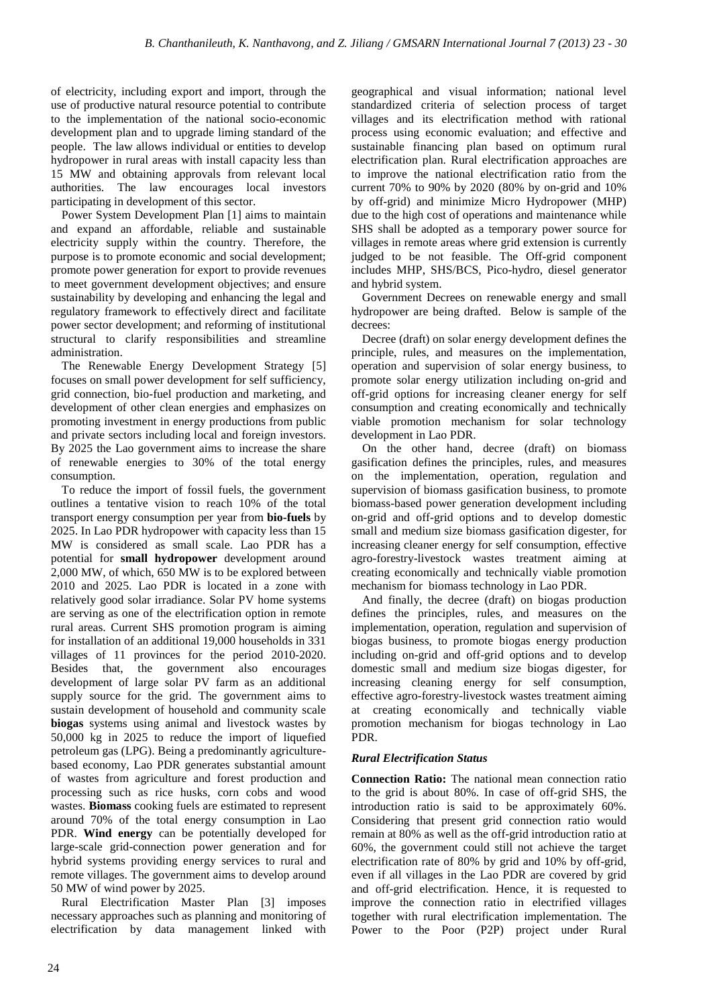of electricity, including export and import, through the use of productive natural resource potential to contribute to the implementation of the national socio-economic development plan and to upgrade liming standard of the people. The law allows individual or entities to develop hydropower in rural areas with install capacity less than 15 MW and obtaining approvals from relevant local authorities. The law encourages local investors participating in development of this sector.

Power System Development Plan [1] aims to maintain and expand an affordable, reliable and sustainable electricity supply within the country. Therefore, the purpose is to promote economic and social development; promote power generation for export to provide revenues to meet government development objectives; and ensure sustainability by developing and enhancing the legal and regulatory framework to effectively direct and facilitate power sector development; and reforming of institutional structural to clarify responsibilities and streamline administration.

The Renewable Energy Development Strategy [5] focuses on small power development for self sufficiency, grid connection, bio-fuel production and marketing, and development of other clean energies and emphasizes on promoting investment in energy productions from public and private sectors including local and foreign investors. By 2025 the Lao government aims to increase the share of renewable energies to 30% of the total energy consumption.

To reduce the import of fossil fuels, the government outlines a tentative vision to reach 10% of the total transport energy consumption per year from **bio-fuels** by 2025. In Lao PDR hydropower with capacity less than 15 MW is considered as small scale. Lao PDR has a potential for **small hydropower** development around 2,000 MW, of which, 650 MW is to be explored between 2010 and 2025. Lao PDR is located in a zone with relatively good solar irradiance. Solar PV home systems are serving as one of the electrification option in remote rural areas. Current SHS promotion program is aiming for installation of an additional 19,000 households in 331 villages of 11 provinces for the period 2010-2020. Besides that, the government also encourages development of large solar PV farm as an additional supply source for the grid. The government aims to sustain development of household and community scale **biogas** systems using animal and livestock wastes by 50,000 kg in 2025 to reduce the import of liquefied petroleum gas (LPG). Being a predominantly agriculturebased economy, Lao PDR generates substantial amount of wastes from agriculture and forest production and processing such as rice husks, corn cobs and wood wastes. **Biomass** cooking fuels are estimated to represent around 70% of the total energy consumption in Lao PDR. **Wind energy** can be potentially developed for large-scale grid-connection power generation and for hybrid systems providing energy services to rural and remote villages. The government aims to develop around 50 MW of wind power by 2025.

Rural Electrification Master Plan [3] imposes necessary approaches such as planning and monitoring of electrification by data management linked with geographical and visual information; national level standardized criteria of selection process of target villages and its electrification method with rational process using economic evaluation; and effective and sustainable financing plan based on optimum rural electrification plan. Rural electrification approaches are to improve the national electrification ratio from the current 70% to 90% by 2020 (80% by on-grid and 10% by off-grid) and minimize Micro Hydropower (MHP) due to the high cost of operations and maintenance while SHS shall be adopted as a temporary power source for villages in remote areas where grid extension is currently judged to be not feasible. The Off-grid component includes MHP, SHS/BCS, Pico-hydro, diesel generator and hybrid system.

Government Decrees on renewable energy and small hydropower are being drafted. Below is sample of the decrees:

Decree (draft) on solar energy development defines the principle, rules, and measures on the implementation, operation and supervision of solar energy business, to promote solar energy utilization including on-grid and off-grid options for increasing cleaner energy for self consumption and creating economically and technically viable promotion mechanism for solar technology development in Lao PDR.

On the other hand, decree (draft) on biomass gasification defines the principles, rules, and measures on the implementation, operation, regulation and supervision of biomass gasification business, to promote biomass-based power generation development including on-grid and off-grid options and to develop domestic small and medium size biomass gasification digester, for increasing cleaner energy for self consumption, effective agro-forestry-livestock wastes treatment aiming at creating economically and technically viable promotion mechanism for biomass technology in Lao PDR.

And finally, the decree (draft) on biogas production defines the principles, rules, and measures on the implementation, operation, regulation and supervision of biogas business, to promote biogas energy production including on-grid and off-grid options and to develop domestic small and medium size biogas digester, for increasing cleaning energy for self consumption, effective agro-forestry-livestock wastes treatment aiming at creating economically and technically viable promotion mechanism for biogas technology in Lao PDR.

## *Rural Electrification Status*

**Connection Ratio:** The national mean connection ratio to the grid is about 80%. In case of off-grid SHS, the introduction ratio is said to be approximately 60%. Considering that present grid connection ratio would remain at 80% as well as the off-grid introduction ratio at 60%, the government could still not achieve the target electrification rate of 80% by grid and 10% by off-grid, even if all villages in the Lao PDR are covered by grid and off-grid electrification. Hence, it is requested to improve the connection ratio in electrified villages together with rural electrification implementation. The Power to the Poor (P2P) project under Rural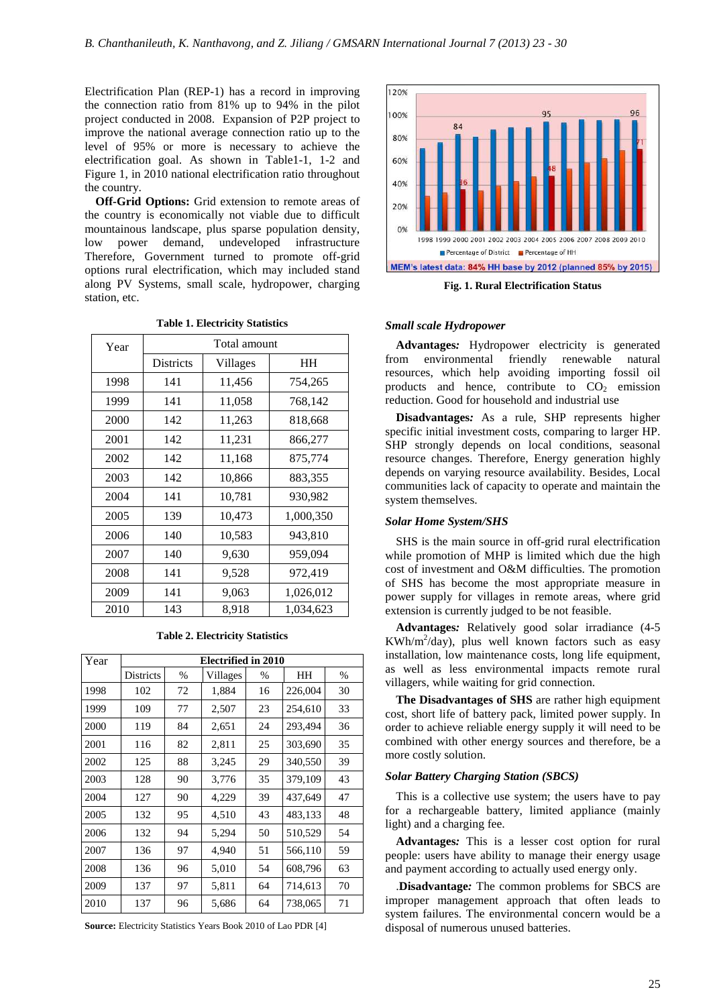Electrification Plan (REP-1) has a record in improving the connection ratio from 81% up to 94% in the pilot project conducted in 2008. Expansion of P2P project to improve the national average connection ratio up to the level of 95% or more is necessary to achieve the electrification goal. As shown in Table1-1, 1-2 and Figure 1, in 2010 national electrification ratio throughout the country.

**Off-Grid Options:** Grid extension to remote areas of the country is economically not viable due to difficult mountainous landscape, plus sparse population density, low power demand, undeveloped infrastructure Therefore, Government turned to promote off-grid options rural electrification, which may included stand along PV Systems, small scale, hydropower, charging station, etc.

| Year | Total amount     |                    |           |  |  |  |
|------|------------------|--------------------|-----------|--|--|--|
|      | <b>Districts</b> | Villages           | HH        |  |  |  |
| 1998 | 141              | 11,456             | 754,265   |  |  |  |
| 1999 | 141              | 11,058             | 768,142   |  |  |  |
| 2000 | 142              | 11,263             | 818,668   |  |  |  |
| 2001 | 142              | 11,231             | 866,277   |  |  |  |
| 2002 | 142              | 11,168             | 875,774   |  |  |  |
| 2003 | 142              | 10,866             | 883,355   |  |  |  |
| 2004 | 141              | 10,781             | 930,982   |  |  |  |
| 2005 | 139              | 10,473             | 1,000,350 |  |  |  |
| 2006 | 140              | 10,583             | 943,810   |  |  |  |
| 2007 | 140              | 9,630              | 959,094   |  |  |  |
| 2008 | 141              | 9,528              | 972,419   |  |  |  |
| 2009 | 141              | 9,063<br>1,026,012 |           |  |  |  |
| 2010 | 143              | 8,918              | 1,034,623 |  |  |  |

**Table 1. Electricity Statistics** 

**Table 2. Electricity Statistics** 

| Year | Electrified in 2010 |      |          |      |         |      |  |
|------|---------------------|------|----------|------|---------|------|--|
|      | <b>Districts</b>    | $\%$ | Villages | $\%$ | HН      | $\%$ |  |
| 1998 | 102                 | 72   | 1,884    | 16   | 226,004 | 30   |  |
| 1999 | 109                 | 77   | 2,507    | 23   | 254,610 | 33   |  |
| 2000 | 119                 | 84   | 2,651    | 24   | 293,494 | 36   |  |
| 2001 | 116                 | 82   | 2,811    | 25   | 303,690 | 35   |  |
| 2002 | 125                 | 88   | 3,245    | 29   | 340,550 | 39   |  |
| 2003 | 128                 | 90   | 3,776    | 35   | 379,109 | 43   |  |
| 2004 | 127                 | 90   | 4,229    | 39   | 437,649 | 47   |  |
| 2005 | 132                 | 95   | 4,510    | 43   | 483,133 | 48   |  |
| 2006 | 132                 | 94   | 5,294    | 50   | 510,529 | 54   |  |
| 2007 | 136                 | 97   | 4,940    | 51   | 566,110 | 59   |  |
| 2008 | 136                 | 96   | 5,010    | 54   | 608,796 | 63   |  |
| 2009 | 137                 | 97   | 5,811    | 64   | 714,613 | 70   |  |
| 2010 | 137                 | 96   | 5,686    | 64   | 738,065 | 71   |  |

**Source:** Electricity Statistics Years Book 2010 of Lao PDR [4]



**Fig. 1. Rural Electrification Status** 

#### *Small scale Hydropower*

**Advantages***:* Hydropower electricity is generated from environmental friendly renewable natural resources, which help avoiding importing fossil oil products and hence, contribute to  $CO<sub>2</sub>$  emission reduction. Good for household and industrial use

**Disadvantages***:* As a rule, SHP represents higher specific initial investment costs, comparing to larger HP. SHP strongly depends on local conditions, seasonal resource changes. Therefore, Energy generation highly depends on varying resource availability. Besides, Local communities lack of capacity to operate and maintain the system themselves.

#### *Solar Home System/SHS*

SHS is the main source in off-grid rural electrification while promotion of MHP is limited which due the high cost of investment and O&M difficulties. The promotion of SHS has become the most appropriate measure in power supply for villages in remote areas, where grid extension is currently judged to be not feasible.

**Advantages***:* Relatively good solar irradiance (4-5  $KWh/m^2/day)$ , plus well known factors such as easy installation, low maintenance costs, long life equipment, as well as less environmental impacts remote rural villagers, while waiting for grid connection.

**The Disadvantages of SHS** are rather high equipment cost, short life of battery pack, limited power supply. In order to achieve reliable energy supply it will need to be combined with other energy sources and therefore, be a more costly solution.

#### *Solar Battery Charging Station (SBCS)*

This is a collective use system; the users have to pay for a rechargeable battery, limited appliance (mainly light) and a charging fee.

**Advantages***:* This is a lesser cost option for rural people: users have ability to manage their energy usage and payment according to actually used energy only.

.**Disadvantage***:* The common problems for SBCS are improper management approach that often leads to system failures. The environmental concern would be a disposal of numerous unused batteries.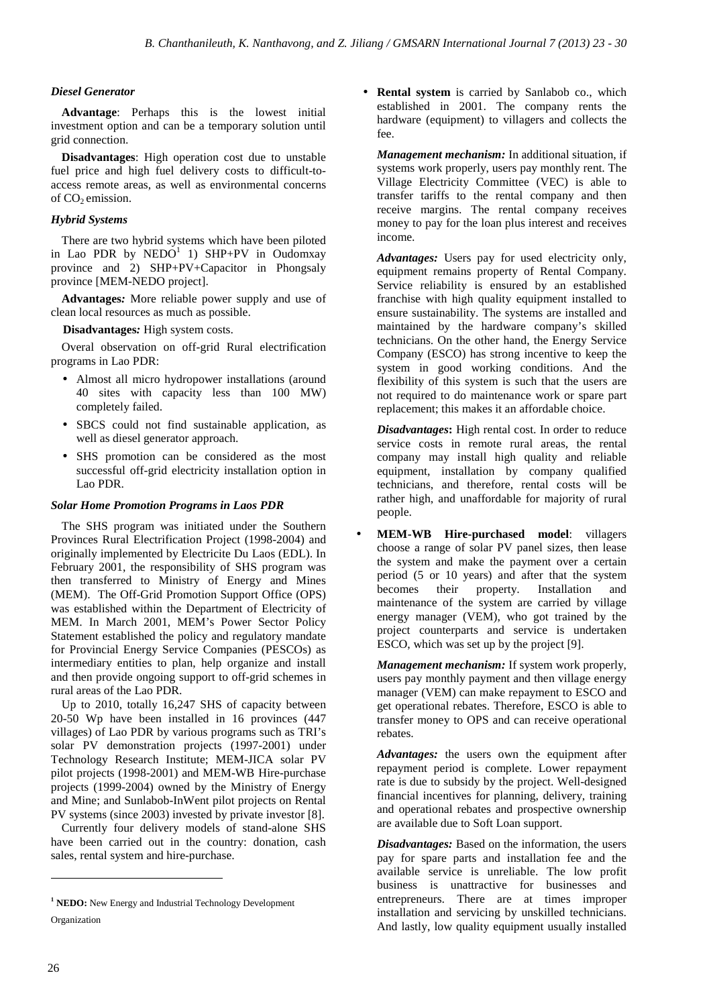## *Diesel Generator*

**Advantage**: Perhaps this is the lowest initial investment option and can be a temporary solution until grid connection.

**Disadvantages**: High operation cost due to unstable fuel price and high fuel delivery costs to difficult-toaccess remote areas, as well as environmental concerns of CO<sub>2</sub> emission.

## *Hybrid Systems*

There are two hybrid systems which have been piloted in Lao PDR by  $NEDO<sup>1</sup>$  1) SHP+PV in Oudomxay province and 2) SHP+PV+Capacitor in Phongsaly province [MEM-NEDO project].

**Advantages***:* More reliable power supply and use of clean local resources as much as possible.

**Disadvantages***:* High system costs.

Overal observation on off-grid Rural electrification programs in Lao PDR:

- Almost all micro hydropower installations (around 40 sites with capacity less than 100 MW) completely failed.
- SBCS could not find sustainable application, as well as diesel generator approach.
- SHS promotion can be considered as the most successful off-grid electricity installation option in Lao PDR.

## *Solar Home Promotion Programs in Laos PDR*

The SHS program was initiated under the Southern Provinces Rural Electrification Project (1998-2004) and originally implemented by Electricite Du Laos (EDL). In February 2001, the responsibility of SHS program was then transferred to Ministry of Energy and Mines (MEM). The Off-Grid Promotion Support Office (OPS) was established within the Department of Electricity of MEM. In March 2001, MEM's Power Sector Policy Statement established the policy and regulatory mandate for Provincial Energy Service Companies (PESCOs) as intermediary entities to plan, help organize and install and then provide ongoing support to off-grid schemes in rural areas of the Lao PDR.

Up to 2010, totally 16,247 SHS of capacity between 20-50 Wp have been installed in 16 provinces (447 villages) of Lao PDR by various programs such as TRI's solar PV demonstration projects (1997-2001) under Technology Research Institute; MEM-JICA solar PV pilot projects (1998-2001) and MEM-WB Hire-purchase projects (1999-2004) owned by the Ministry of Energy and Mine; and Sunlabob-InWent pilot projects on Rental PV systems (since 2003) invested by private investor [8].

Currently four delivery models of stand-alone SHS have been carried out in the country: donation, cash sales, rental system and hire-purchase.

• **Rental system** is carried by Sanlabob co., which established in 2001. The company rents the hardware (equipment) to villagers and collects the fee.

*Management mechanism:* In additional situation, if systems work properly, users pay monthly rent. The Village Electricity Committee (VEC) is able to transfer tariffs to the rental company and then receive margins. The rental company receives money to pay for the loan plus interest and receives income.

*Advantages:* Users pay for used electricity only, equipment remains property of Rental Company. Service reliability is ensured by an established franchise with high quality equipment installed to ensure sustainability. The systems are installed and maintained by the hardware company's skilled technicians. On the other hand, the Energy Service Company (ESCO) has strong incentive to keep the system in good working conditions. And the flexibility of this system is such that the users are not required to do maintenance work or spare part replacement; this makes it an affordable choice.

*Disadvantages***:** High rental cost. In order to reduce service costs in remote rural areas, the rental company may install high quality and reliable equipment, installation by company qualified technicians, and therefore, rental costs will be rather high, and unaffordable for majority of rural people.

• **MEM-WB Hire-purchased model**: villagers choose a range of solar PV panel sizes, then lease the system and make the payment over a certain period (5 or 10 years) and after that the system becomes their property. Installation and maintenance of the system are carried by village energy manager (VEM), who got trained by the project counterparts and service is undertaken ESCO, which was set up by the project [9].

*Management mechanism:* If system work properly, users pay monthly payment and then village energy manager (VEM) can make repayment to ESCO and get operational rebates. Therefore, ESCO is able to transfer money to OPS and can receive operational rebates.

*Advantages:* the users own the equipment after repayment period is complete. Lower repayment rate is due to subsidy by the project. Well-designed financial incentives for planning, delivery, training and operational rebates and prospective ownership are available due to Soft Loan support.

*Disadvantages:* Based on the information, the users pay for spare parts and installation fee and the available service is unreliable. The low profit business is unattractive for businesses and entrepreneurs. There are at times improper installation and servicing by unskilled technicians. And lastly, low quality equipment usually installed

 $\overline{a}$ 

<sup>&</sup>lt;sup>1</sup> **NEDO:** New Energy and Industrial Technology Development Organization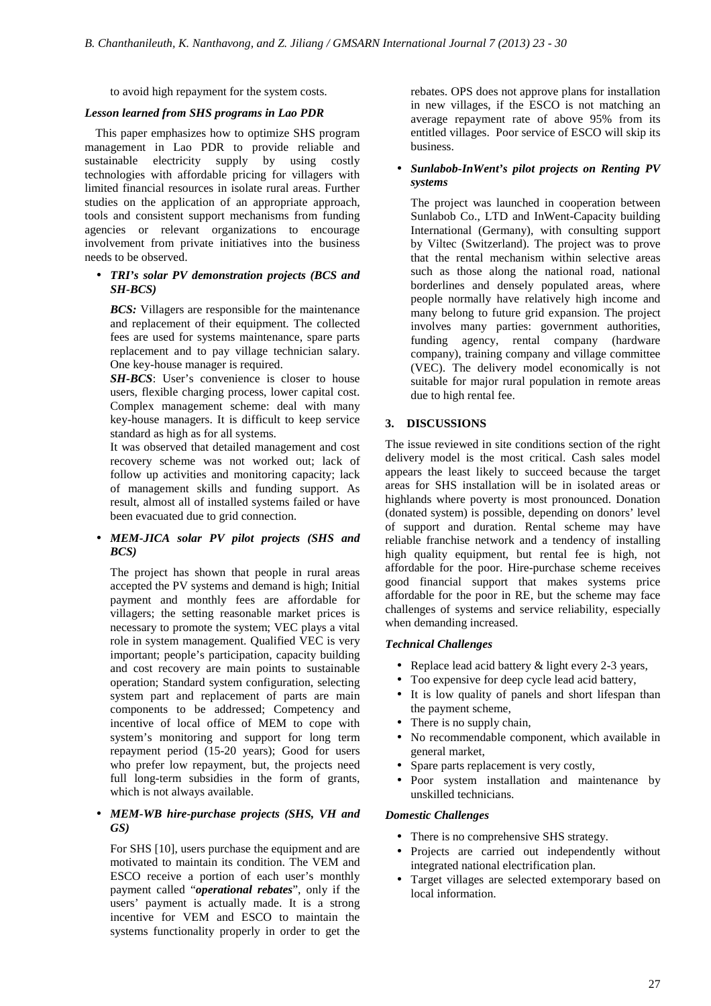to avoid high repayment for the system costs.

#### *Lesson learned from SHS programs in Lao PDR*

This paper emphasizes how to optimize SHS program management in Lao PDR to provide reliable and sustainable electricity supply by using costly technologies with affordable pricing for villagers with limited financial resources in isolate rural areas. Further studies on the application of an appropriate approach, tools and consistent support mechanisms from funding agencies or relevant organizations to encourage involvement from private initiatives into the business needs to be observed.

## • *TRI's solar PV demonstration projects (BCS and SH-BCS)*

*BCS:* Villagers are responsible for the maintenance and replacement of their equipment. The collected fees are used for systems maintenance, spare parts replacement and to pay village technician salary. One key-house manager is required.

*SH-BCS*: User's convenience is closer to house users, flexible charging process, lower capital cost. Complex management scheme: deal with many key-house managers. It is difficult to keep service standard as high as for all systems.

It was observed that detailed management and cost recovery scheme was not worked out; lack of follow up activities and monitoring capacity; lack of management skills and funding support. As result, almost all of installed systems failed or have been evacuated due to grid connection.

## • *MEM-JICA solar PV pilot projects (SHS and BCS)*

The project has shown that people in rural areas accepted the PV systems and demand is high; Initial payment and monthly fees are affordable for villagers; the setting reasonable market prices is necessary to promote the system; VEC plays a vital role in system management. Qualified VEC is very important; people's participation, capacity building and cost recovery are main points to sustainable operation; Standard system configuration, selecting system part and replacement of parts are main components to be addressed; Competency and incentive of local office of MEM to cope with system's monitoring and support for long term repayment period (15-20 years); Good for users who prefer low repayment, but, the projects need full long-term subsidies in the form of grants, which is not always available.

## • *MEM-WB hire-purchase projects (SHS, VH and GS)*

For SHS [10], users purchase the equipment and are motivated to maintain its condition. The VEM and ESCO receive a portion of each user's monthly payment called "*operational rebates*", only if the users' payment is actually made. It is a strong incentive for VEM and ESCO to maintain the systems functionality properly in order to get the

rebates. OPS does not approve plans for installation in new villages, if the ESCO is not matching an average repayment rate of above 95% from its entitled villages. Poor service of ESCO will skip its business.

## • *Sunlabob-InWent's pilot projects on Renting PV systems*

The project was launched in cooperation between Sunlabob Co., LTD and InWent-Capacity building International (Germany), with consulting support by Viltec (Switzerland). The project was to prove that the rental mechanism within selective areas such as those along the national road, national borderlines and densely populated areas, where people normally have relatively high income and many belong to future grid expansion. The project involves many parties: government authorities, funding agency, rental company (hardware company), training company and village committee (VEC). The delivery model economically is not suitable for major rural population in remote areas due to high rental fee.

## **3. DISCUSSIONS**

The issue reviewed in site conditions section of the right delivery model is the most critical. Cash sales model appears the least likely to succeed because the target areas for SHS installation will be in isolated areas or highlands where poverty is most pronounced. Donation (donated system) is possible, depending on donors' level of support and duration. Rental scheme may have reliable franchise network and a tendency of installing high quality equipment, but rental fee is high, not affordable for the poor. Hire-purchase scheme receives good financial support that makes systems price affordable for the poor in RE, but the scheme may face challenges of systems and service reliability, especially when demanding increased.

## *Technical Challenges*

- Replace lead acid battery & light every 2-3 years,
- Too expensive for deep cycle lead acid battery,
- It is low quality of panels and short lifespan than the payment scheme,
- There is no supply chain,
- No recommendable component, which available in general market,
- Spare parts replacement is very costly,
- Poor system installation and maintenance by unskilled technicians.

#### *Domestic Challenges*

- There is no comprehensive SHS strategy.
- Projects are carried out independently without integrated national electrification plan.
- Target villages are selected extemporary based on local information.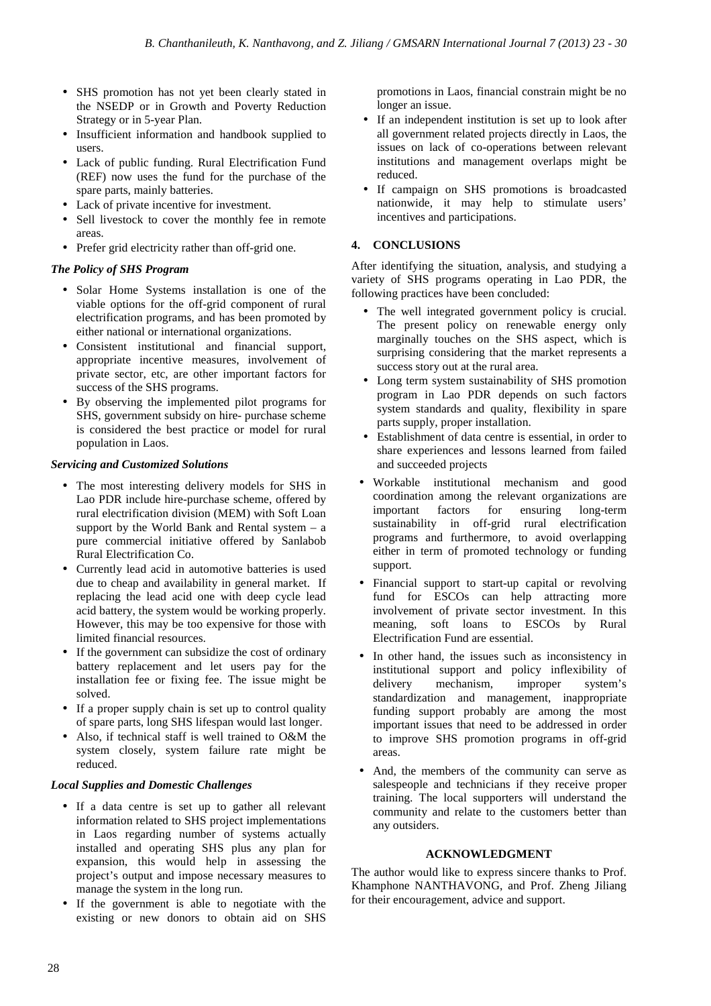- SHS promotion has not yet been clearly stated in the NSEDP or in Growth and Poverty Reduction Strategy or in 5-year Plan.
- Insufficient information and handbook supplied to users.
- Lack of public funding. Rural Electrification Fund (REF) now uses the fund for the purchase of the spare parts, mainly batteries.
- Lack of private incentive for investment.
- Sell livestock to cover the monthly fee in remote areas.
- Prefer grid electricity rather than off-grid one.

# *The Policy of SHS Program*

- Solar Home Systems installation is one of the viable options for the off-grid component of rural electrification programs, and has been promoted by either national or international organizations.
- Consistent institutional and financial support, appropriate incentive measures, involvement of private sector, etc, are other important factors for success of the SHS programs.
- By observing the implemented pilot programs for SHS, government subsidy on hire- purchase scheme is considered the best practice or model for rural population in Laos.

## *Servicing and Customized Solutions*

- The most interesting delivery models for SHS in Lao PDR include hire-purchase scheme, offered by rural electrification division (MEM) with Soft Loan support by the World Bank and Rental system  $-$  a pure commercial initiative offered by Sanlabob Rural Electrification Co.
- Currently lead acid in automotive batteries is used due to cheap and availability in general market. If replacing the lead acid one with deep cycle lead acid battery, the system would be working properly. However, this may be too expensive for those with limited financial resources.
- If the government can subsidize the cost of ordinary battery replacement and let users pay for the installation fee or fixing fee. The issue might be solved.
- If a proper supply chain is set up to control quality of spare parts, long SHS lifespan would last longer.
- Also, if technical staff is well trained to O&M the system closely, system failure rate might be reduced.

# *Local Supplies and Domestic Challenges*

- If a data centre is set up to gather all relevant information related to SHS project implementations in Laos regarding number of systems actually installed and operating SHS plus any plan for expansion, this would help in assessing the project's output and impose necessary measures to manage the system in the long run.
- If the government is able to negotiate with the existing or new donors to obtain aid on SHS

promotions in Laos, financial constrain might be no longer an issue.

- If an independent institution is set up to look after all government related projects directly in Laos, the issues on lack of co-operations between relevant institutions and management overlaps might be reduced.
- If campaign on SHS promotions is broadcasted nationwide, it may help to stimulate users' incentives and participations.

# **4. CONCLUSIONS**

After identifying the situation, analysis, and studying a variety of SHS programs operating in Lao PDR, the following practices have been concluded:

- The well integrated government policy is crucial. The present policy on renewable energy only marginally touches on the SHS aspect, which is surprising considering that the market represents a success story out at the rural area.
- Long term system sustainability of SHS promotion program in Lao PDR depends on such factors system standards and quality, flexibility in spare parts supply, proper installation.
- Establishment of data centre is essential, in order to share experiences and lessons learned from failed and succeeded projects
- Workable institutional mechanism and good coordination among the relevant organizations are important factors for ensuring long-term sustainability in off-grid rural electrification programs and furthermore, to avoid overlapping either in term of promoted technology or funding support.
- Financial support to start-up capital or revolving fund for ESCO<sub>s</sub> can help attracting more involvement of private sector investment. In this meaning, soft loans to ESCOs by Rural Electrification Fund are essential.
- In other hand, the issues such as inconsistency in institutional support and policy inflexibility of delivery mechanism, improper system's standardization and management, inappropriate funding support probably are among the most important issues that need to be addressed in order to improve SHS promotion programs in off-grid areas.
- And, the members of the community can serve as salespeople and technicians if they receive proper training. The local supporters will understand the community and relate to the customers better than any outsiders.

## **ACKNOWLEDGMENT**

The author would like to express sincere thanks to Prof. Khamphone NANTHAVONG, and Prof. Zheng Jiliang for their encouragement, advice and support.